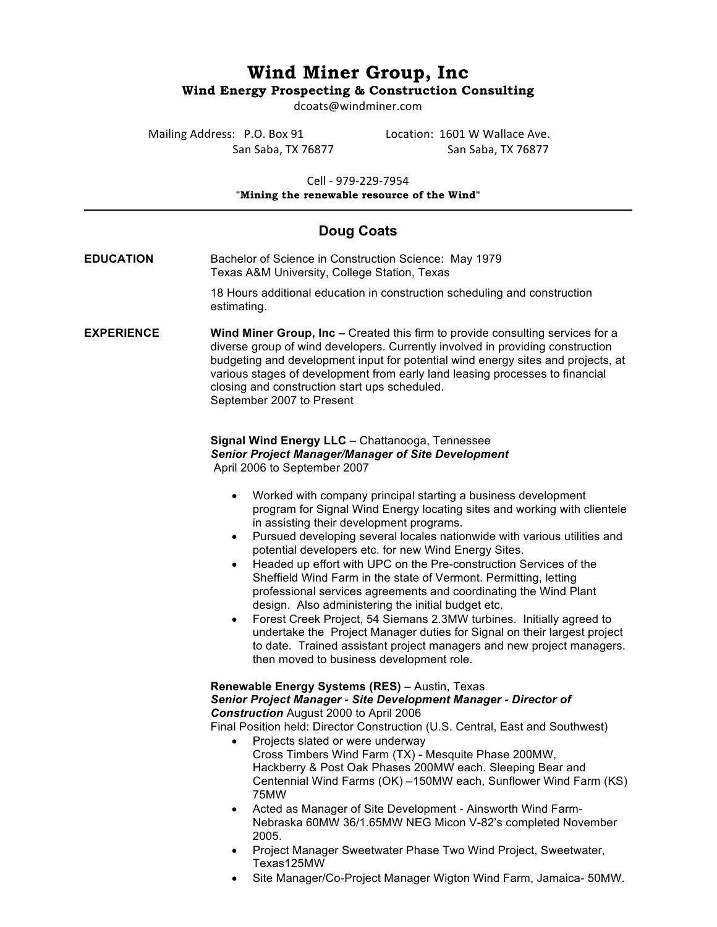# **Wind Miner Group, Inc Wind Energy Prospecting & Construction Consulting**

dcoats@windminer.com

Mailing Address: P.O. Box 91 Location: 1601 W Wallace Ave.

San Saba, TX 76877 San Saba, TX 76877

Cell - 979-229-7954 **"Mining the renewable resource of the Wind"**

# **Doug Coats**

**EDUCATION** Bachelor of Science in Construction Science: May 1979 Texas A&M University, College Station, Texas

> 18 Hours additional education in construction scheduling and construction estimating.

**EXPERIENCE Wind Miner Group, Inc –** Created this firm to provide consulting services for a diverse group of wind developers. Currently involved in providing construction budgeting and development input for potential wind energy sites and projects, at various stages of development from early land leasing processes to financial closing and construction start ups scheduled. September 2007 to Present

#### **Signal Wind Energy LLC** – Chattanooga, Tennessee *Senior Project Manager/Manager of Site Development* April 2006 to September 2007

- Worked with company principal starting a business development program for Signal Wind Energy locating sites and working with clientele in assisting their development programs.
- Pursued developing several locales nationwide with various utilities and potential developers etc. for new Wind Energy Sites.
- Headed up effort with UPC on the Pre-construction Services of the Sheffield Wind Farm in the state of Vermont. Permitting, letting professional services agreements and coordinating the Wind Plant design. Also administering the initial budget etc.
- Forest Creek Project, 54 Siemans 2.3MW turbines. Initially agreed to undertake the Project Manager duties for Signal on their largest project to date. Trained assistant project managers and new project managers. then moved to business development role.

### **Renewable Energy Systems (RES)** – Austin, Texas

#### *Senior Project Manager - Site Development Manager - Director of Construction* August 2000 to April 2006

Final Position held: Director Construction (U.S. Central, East and Southwest)

- Projects slated or were underway Cross Timbers Wind Farm (TX) - Mesquite Phase 200MW, Hackberry & Post Oak Phases 200MW each. Sleeping Bear and Centennial Wind Farms (OK) –150MW each, Sunflower Wind Farm (KS) 75MW
- Acted as Manager of Site Development Ainsworth Wind Farm-Nebraska 60MW 36/1.65MW NEG Micon V-82's completed November 2005.
- Project Manager Sweetwater Phase Two Wind Project, Sweetwater, Texas125MW
- Site Manager/Co-Project Manager Wigton Wind Farm, Jamaica- 50MW.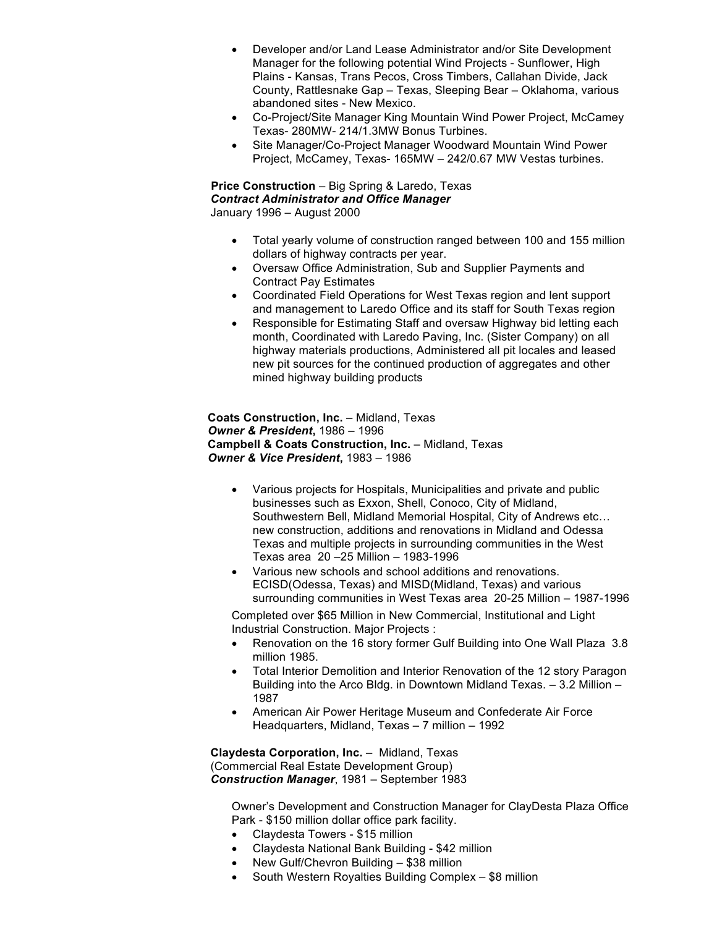- Developer and/or Land Lease Administrator and/or Site Development Manager for the following potential Wind Projects - Sunflower, High Plains - Kansas, Trans Pecos, Cross Timbers, Callahan Divide, Jack County, Rattlesnake Gap – Texas, Sleeping Bear – Oklahoma, various abandoned sites - New Mexico.
- Co-Project/Site Manager King Mountain Wind Power Project, McCamey Texas- 280MW- 214/1.3MW Bonus Turbines.
- Site Manager/Co-Project Manager Woodward Mountain Wind Power Project, McCamey, Texas- 165MW – 242/0.67 MW Vestas turbines.

#### **Price Construction** – Big Spring & Laredo, Texas *Contract Administrator and Office Manager* January 1996 – August 2000

- Total yearly volume of construction ranged between 100 and 155 million dollars of highway contracts per year.
- Oversaw Office Administration, Sub and Supplier Payments and Contract Pay Estimates
- Coordinated Field Operations for West Texas region and lent support and management to Laredo Office and its staff for South Texas region
- Responsible for Estimating Staff and oversaw Highway bid letting each month, Coordinated with Laredo Paving, Inc. (Sister Company) on all highway materials productions, Administered all pit locales and leased new pit sources for the continued production of aggregates and other mined highway building products

 **Coats Construction, Inc.** – Midland, Texas *Owner & President***,** 1986 – 1996 **Campbell & Coats Construction, Inc. - Midland, Texas**  *Owner & Vice President***,** 1983 – 1986

- Various projects for Hospitals, Municipalities and private and public businesses such as Exxon, Shell, Conoco, City of Midland, Southwestern Bell, Midland Memorial Hospital, City of Andrews etc… new construction, additions and renovations in Midland and Odessa Texas and multiple projects in surrounding communities in the West Texas area 20 –25 Million – 1983-1996
- Various new schools and school additions and renovations. ECISD(Odessa, Texas) and MISD(Midland, Texas) and various surrounding communities in West Texas area 20-25 Million – 1987-1996

Completed over \$65 Million in New Commercial, Institutional and Light Industrial Construction. Major Projects :

- Renovation on the 16 story former Gulf Building into One Wall Plaza 3.8 million 1985.
- Total Interior Demolition and Interior Renovation of the 12 story Paragon Building into the Arco Bldg. in Downtown Midland Texas. – 3.2 Million – 1987
- American Air Power Heritage Museum and Confederate Air Force Headquarters, Midland, Texas – 7 million – 1992

**Claydesta Corporation, Inc.** – Midland, Texas (Commercial Real Estate Development Group) *Construction Manager*, 1981 – September 1983

Owner's Development and Construction Manager for ClayDesta Plaza Office Park - \$150 million dollar office park facility.

- Claydesta Towers \$15 million
- Claydesta National Bank Building \$42 million
- New Gulf/Chevron Building \$38 million
- South Western Royalties Building Complex \$8 million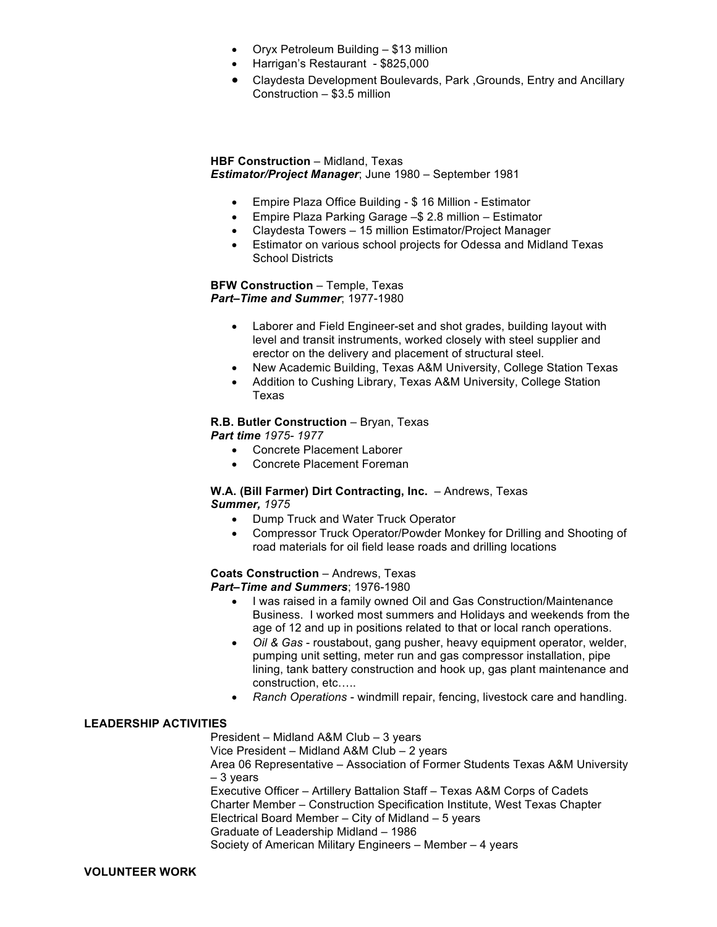- Oryx Petroleum Building \$13 million
- Harrigan's Restaurant \$825,000
- Claydesta Development Boulevards, Park ,Grounds, Entry and Ancillary Construction – \$3.5 million

#### **HBF Construction** – Midland, Texas *Estimator/Project Manager*; June 1980 – September 1981

- Empire Plaza Office Building \$ 16 Million Estimator
- Empire Plaza Parking Garage –\$ 2.8 million Estimator
- Claydesta Towers 15 million Estimator/Project Manager
- Estimator on various school projects for Odessa and Midland Texas School Districts

#### **BFW Construction** – Temple, Texas *Part–Time and Summer*; 1977-1980

- Laborer and Field Engineer-set and shot grades, building layout with level and transit instruments, worked closely with steel supplier and erector on the delivery and placement of structural steel.
- New Academic Building, Texas A&M University, College Station Texas
- Addition to Cushing Library, Texas A&M University, College Station Texas

### **R.B. Butler Construction** – Bryan, Texas

*Part time 1975- 1977*

- Concrete Placement Laborer
- Concrete Placement Foreman

#### **W.A. (Bill Farmer) Dirt Contracting, Inc.** – Andrews, Texas *Summer, 1975*

- Dump Truck and Water Truck Operator
- Compressor Truck Operator/Powder Monkey for Drilling and Shooting of road materials for oil field lease roads and drilling locations

## **Coats Construction** – Andrews, Texas

*Part–Time and Summers*; 1976-1980

- I was raised in a family owned Oil and Gas Construction/Maintenance Business. I worked most summers and Holidays and weekends from the age of 12 and up in positions related to that or local ranch operations.
- *Oil & Gas* roustabout, gang pusher, heavy equipment operator, welder, pumping unit setting, meter run and gas compressor installation, pipe lining, tank battery construction and hook up, gas plant maintenance and construction, etc…..
- *Ranch Operations* windmill repair, fencing, livestock care and handling.

### **LEADERSHIP ACTIVITIES**

President – Midland A&M Club – 3 years Vice President – Midland A&M Club – 2 years Area 06 Representative – Association of Former Students Texas A&M University – 3 years Executive Officer – Artillery Battalion Staff – Texas A&M Corps of Cadets

Charter Member – Construction Specification Institute, West Texas Chapter Electrical Board Member – City of Midland – 5 years

Graduate of Leadership Midland – 1986 Society of American Military Engineers – Member – 4 years